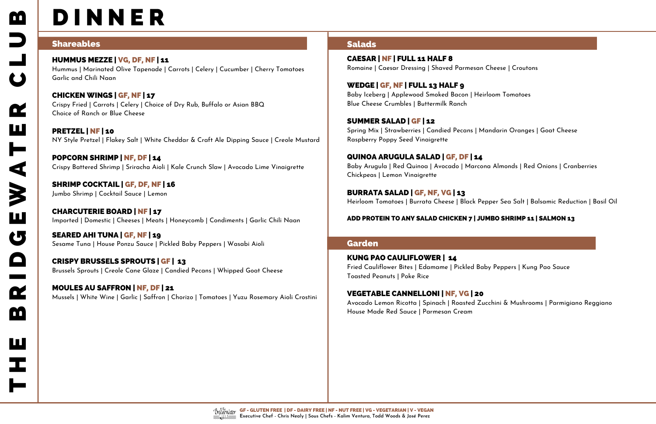# **D I N N E R**

## Shareables

HUMMUS MEZZE | VG, DF, NF | 11 Hummus | Marinated Olive Tapenade | Carrots | Celery | Cucumber | Cherry Tomatoes Garlic and Chili Naan

PRETZEL | NF | 10 NY Style Pretzel | Flakey Salt | White Cheddar & Craft Ale Dipping Sauce | Creole Mustard

CHICKEN WINGS | GF, NF | 17 Crispy Fried | Carrots | Celery | Choice of Dry Rub, Buffalo or Asian BBQ Choice of Ranch or Blue Cheese

POPCORN SHRIMP | NF, DF | 14 Crispy Battered Shrimp | Sriracha Aioli | Kale Crunch Slaw | Avocado Lime Vinaigrette

SHRIMP COCKTAIL | GF, DF, NF | 16 Jumbo Shrimp | Cocktail Sauce | Lemon

- 
- 
- 
- 
- 
- 
- 

CHARCUTERIE BOARD | NF | 17 Imported | Domestic | Cheeses | Meats | Honeycomb | Condiments | Garlic Chili Naan WEDGE | GF, NF | FULL 13 HALF 9 Baby Iceberg | Applewood Smoked Bacon | Heirloom Tomatoes Blue Cheese Crumbles | Buttermilk Ranch

SEARED AHI TUNA | GF, NF | 19 Sesame Tuna | House Ponzu Sauce | Pickled Baby Peppers | Wasabi Aioli SUMMER SALAD | GF | 12 Spring Mix | Strawberries | Candied Pecans | Mandarin Oranges | Goat Cheese Raspberry Poppy Seed Vinaigrette

CRISPY BRUSSELS SPROUTS | GF | 13 Brussels Sprouts | Creole Cane Glaze | Candied Pecans | Whipped Goat Cheese BURRATA SALAD | GF, NF, VG | 13 Heirloom Tomatoes | Burrata Cheese | Black Pepper Sea Salt | Balsamic Reduction | Basil Oil

MOULES AU SAFFRON | NF, DF | 21 Mussels | White Wine | Garlic | Saffron | Chorizo | Tomatoes | Yuzu Rosemary Aioli Crostini

## Salads

CAESAR | NF | FULL 11 HALF 8 Romaine | Caesar Dressing | Shaved Parmesan Cheese | Croutons

QUINOA ARUGULA SALAD | GF, DF | 14 Baby Arugula | Red Quinoa | Avocado | Marcona Almonds | Red Onions | Cranberries Chickpeas | Lemon Vinaigrette

#### ADD PROTEIN TO ANY SALAD CHICKEN 7 | JUMBO SHRIMP 11 | SALMON 13

### Garden

KUNG PAO CAULIFLOWER | 14 Fried Cauliflower Bites | Edamame | Pickled Baby Peppers | Kung Pao Sauce Toasted Peanuts | Poke Rice

VEGETABLE CANNELLONI | NF, VG | 20 Avocado Lemon Ricotta | Spinach | Roasted Zucchini & Mushrooms | Parmigiano Reggiano House Made Red Sauce | Parmesan Cream